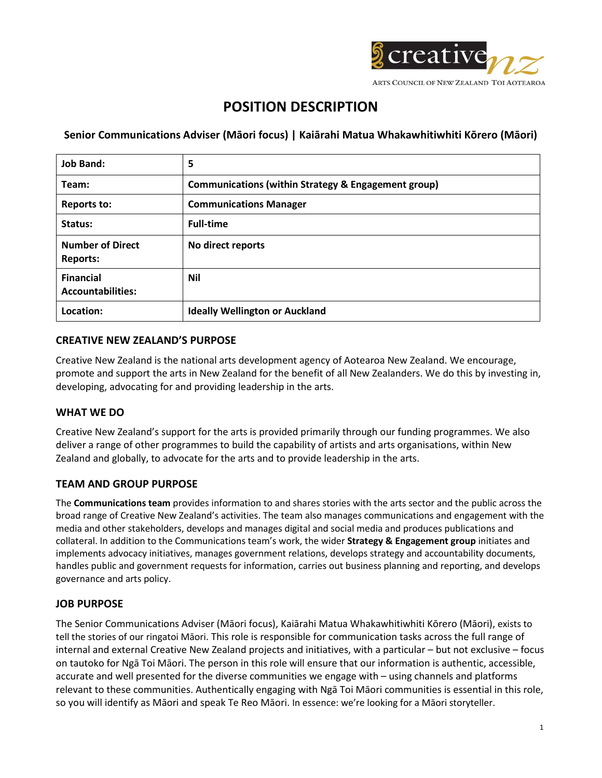

# **POSITION DESCRIPTION**

**Senior Communications Adviser (Māori focus) | Kaiārahi Matua Whakawhitiwhiti Kōrero (Māori)**

| <b>Job Band:</b>                             | 5                                                   |
|----------------------------------------------|-----------------------------------------------------|
| Team:                                        | Communications (within Strategy & Engagement group) |
| <b>Reports to:</b>                           | <b>Communications Manager</b>                       |
| Status:                                      | <b>Full-time</b>                                    |
| <b>Number of Direct</b><br><b>Reports:</b>   | No direct reports                                   |
| <b>Financial</b><br><b>Accountabilities:</b> | <b>Nil</b>                                          |
| Location:                                    | <b>Ideally Wellington or Auckland</b>               |

# **CREATIVE NEW ZEALAND'S PURPOSE**

Creative New Zealand is the national arts development agency of Aotearoa New Zealand. We encourage, promote and support the arts in New Zealand for the benefit of all New Zealanders. We do this by investing in, developing, advocating for and providing leadership in the arts.

# **WHAT WE DO**

Creative New Zealand's support for the arts is provided primarily through our funding programmes. We also deliver a range of other programmes to build the capability of artists and arts organisations, within New Zealand and globally, to advocate for the arts and to provide leadership in the arts.

# **TEAM AND GROUP PURPOSE**

The **Communications team** provides information to and shares stories with the arts sector and the public across the broad range of Creative New Zealand's activities. The team also manages communications and engagement with the media and other stakeholders, develops and manages digital and social media and produces publications and collateral. In addition to the Communications team's work, the wider **Strategy & Engagement group** initiates and implements advocacy initiatives, manages government relations, develops strategy and accountability documents, handles public and government requests for information, carries out business planning and reporting, and develops governance and arts policy.

## **JOB PURPOSE**

The Senior Communications Adviser (Māori focus), Kaiārahi Matua Whakawhitiwhiti Kōrero (Māori), exists to tell the stories of our ringatoi Māori. This role is responsible for communication tasks across the full range of internal and external Creative New Zealand projects and initiatives, with a particular – but not exclusive – focus on tautoko for Ngā Toi Māori. The person in this role will ensure that our information is authentic, accessible, accurate and well presented for the diverse communities we engage with – using channels and platforms relevant to these communities. Authentically engaging with Ngā Toi Māori communities is essential in this role, so you will identify as Māori and speak Te Reo Māori. In essence: we're looking for a Māori storyteller.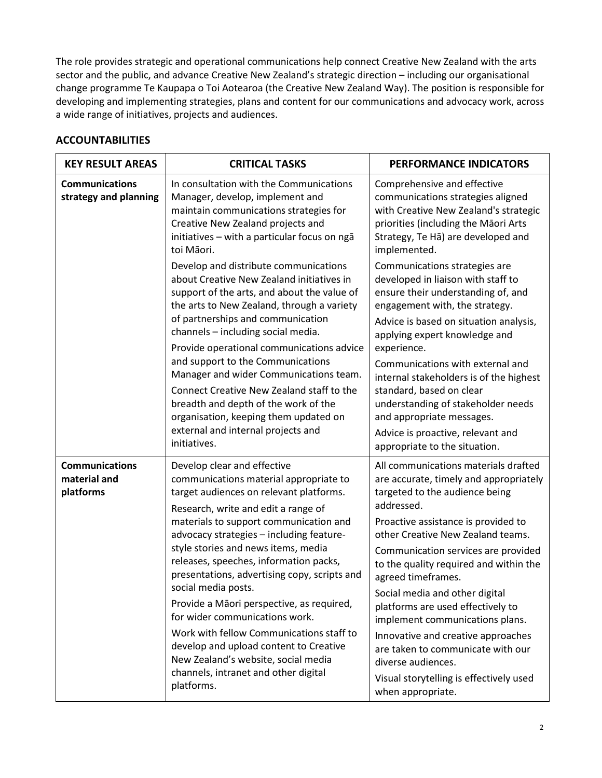The role provides strategic and operational communications help connect Creative New Zealand with the arts sector and the public, and advance Creative New Zealand's strategic direction – including our organisational change programme Te Kaupapa o Toi Aotearoa (the Creative New Zealand Way). The position is responsible for developing and implementing strategies, plans and content for our communications and advocacy work, across a wide range of initiatives, projects and audiences.

# **ACCOUNTABILITIES**

| <b>KEY RESULT AREAS</b>                            | <b>CRITICAL TASKS</b>                                                                                                                                                                                                                                                                                                                                                                                                                                                                                                                                                                                                                                                   | PERFORMANCE INDICATORS                                                                                                                                                                                                                                                                                                                                                                                                                                                                                                                                                                       |
|----------------------------------------------------|-------------------------------------------------------------------------------------------------------------------------------------------------------------------------------------------------------------------------------------------------------------------------------------------------------------------------------------------------------------------------------------------------------------------------------------------------------------------------------------------------------------------------------------------------------------------------------------------------------------------------------------------------------------------------|----------------------------------------------------------------------------------------------------------------------------------------------------------------------------------------------------------------------------------------------------------------------------------------------------------------------------------------------------------------------------------------------------------------------------------------------------------------------------------------------------------------------------------------------------------------------------------------------|
| <b>Communications</b><br>strategy and planning     | In consultation with the Communications<br>Manager, develop, implement and<br>maintain communications strategies for<br>Creative New Zealand projects and<br>initiatives - with a particular focus on ngā<br>toi Māori.                                                                                                                                                                                                                                                                                                                                                                                                                                                 | Comprehensive and effective<br>communications strategies aligned<br>with Creative New Zealand's strategic<br>priorities (including the Māori Arts<br>Strategy, Te Ha) are developed and<br>implemented.                                                                                                                                                                                                                                                                                                                                                                                      |
|                                                    | Develop and distribute communications<br>about Creative New Zealand initiatives in<br>support of the arts, and about the value of<br>the arts to New Zealand, through a variety<br>of partnerships and communication<br>channels - including social media.<br>Provide operational communications advice<br>and support to the Communications<br>Manager and wider Communications team.                                                                                                                                                                                                                                                                                  | Communications strategies are<br>developed in liaison with staff to<br>ensure their understanding of, and<br>engagement with, the strategy.<br>Advice is based on situation analysis,<br>applying expert knowledge and<br>experience.<br>Communications with external and                                                                                                                                                                                                                                                                                                                    |
|                                                    | Connect Creative New Zealand staff to the<br>breadth and depth of the work of the<br>organisation, keeping them updated on<br>external and internal projects and<br>initiatives.                                                                                                                                                                                                                                                                                                                                                                                                                                                                                        | internal stakeholders is of the highest<br>standard, based on clear<br>understanding of stakeholder needs<br>and appropriate messages.<br>Advice is proactive, relevant and<br>appropriate to the situation.                                                                                                                                                                                                                                                                                                                                                                                 |
| <b>Communications</b><br>material and<br>platforms | Develop clear and effective<br>communications material appropriate to<br>target audiences on relevant platforms.<br>Research, write and edit a range of<br>materials to support communication and<br>advocacy strategies - including feature-<br>style stories and news items, media<br>releases, speeches, information packs,<br>presentations, advertising copy, scripts and<br>social media posts.<br>Provide a Māori perspective, as required,<br>for wider communications work.<br>Work with fellow Communications staff to<br>develop and upload content to Creative<br>New Zealand's website, social media<br>channels, intranet and other digital<br>platforms. | All communications materials drafted<br>are accurate, timely and appropriately<br>targeted to the audience being<br>addressed.<br>Proactive assistance is provided to<br>other Creative New Zealand teams.<br>Communication services are provided<br>to the quality required and within the<br>agreed timeframes.<br>Social media and other digital<br>platforms are used effectively to<br>implement communications plans.<br>Innovative and creative approaches<br>are taken to communicate with our<br>diverse audiences.<br>Visual storytelling is effectively used<br>when appropriate. |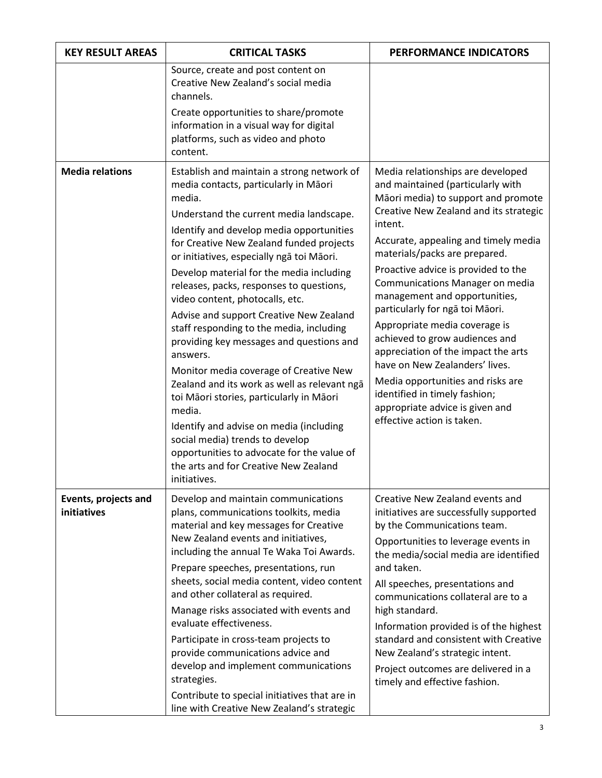| <b>KEY RESULT AREAS</b>             | <b>CRITICAL TASKS</b>                                                                                                                                                                                                                                                                                                                                                                                                                                                                                                                                                                                                                                                                                                                                                                                                                                                                        | PERFORMANCE INDICATORS                                                                                                                                                                                                                                                                                                                                                                                                                                                                                                                                                                                                                                                       |
|-------------------------------------|----------------------------------------------------------------------------------------------------------------------------------------------------------------------------------------------------------------------------------------------------------------------------------------------------------------------------------------------------------------------------------------------------------------------------------------------------------------------------------------------------------------------------------------------------------------------------------------------------------------------------------------------------------------------------------------------------------------------------------------------------------------------------------------------------------------------------------------------------------------------------------------------|------------------------------------------------------------------------------------------------------------------------------------------------------------------------------------------------------------------------------------------------------------------------------------------------------------------------------------------------------------------------------------------------------------------------------------------------------------------------------------------------------------------------------------------------------------------------------------------------------------------------------------------------------------------------------|
|                                     | Source, create and post content on<br>Creative New Zealand's social media<br>channels.<br>Create opportunities to share/promote<br>information in a visual way for digital<br>platforms, such as video and photo<br>content.                                                                                                                                                                                                                                                                                                                                                                                                                                                                                                                                                                                                                                                                 |                                                                                                                                                                                                                                                                                                                                                                                                                                                                                                                                                                                                                                                                              |
| <b>Media relations</b>              | Establish and maintain a strong network of<br>media contacts, particularly in Māori<br>media.<br>Understand the current media landscape.<br>Identify and develop media opportunities<br>for Creative New Zealand funded projects<br>or initiatives, especially ngā toi Māori.<br>Develop material for the media including<br>releases, packs, responses to questions,<br>video content, photocalls, etc.<br>Advise and support Creative New Zealand<br>staff responding to the media, including<br>providing key messages and questions and<br>answers.<br>Monitor media coverage of Creative New<br>Zealand and its work as well as relevant ngā<br>toi Māori stories, particularly in Māori<br>media.<br>Identify and advise on media (including<br>social media) trends to develop<br>opportunities to advocate for the value of<br>the arts and for Creative New Zealand<br>initiatives. | Media relationships are developed<br>and maintained (particularly with<br>Māori media) to support and promote<br>Creative New Zealand and its strategic<br>intent.<br>Accurate, appealing and timely media<br>materials/packs are prepared.<br>Proactive advice is provided to the<br>Communications Manager on media<br>management and opportunities,<br>particularly for ngā toi Māori.<br>Appropriate media coverage is<br>achieved to grow audiences and<br>appreciation of the impact the arts<br>have on New Zealanders' lives.<br>Media opportunities and risks are<br>identified in timely fashion;<br>appropriate advice is given and<br>effective action is taken. |
| Events, projects and<br>initiatives | Develop and maintain communications<br>plans, communications toolkits, media<br>material and key messages for Creative<br>New Zealand events and initiatives,<br>including the annual Te Waka Toi Awards.<br>Prepare speeches, presentations, run<br>sheets, social media content, video content<br>and other collateral as required.<br>Manage risks associated with events and<br>evaluate effectiveness.<br>Participate in cross-team projects to<br>provide communications advice and<br>develop and implement communications<br>strategies.<br>Contribute to special initiatives that are in<br>line with Creative New Zealand's strategic                                                                                                                                                                                                                                              | Creative New Zealand events and<br>initiatives are successfully supported<br>by the Communications team.<br>Opportunities to leverage events in<br>the media/social media are identified<br>and taken.<br>All speeches, presentations and<br>communications collateral are to a<br>high standard.<br>Information provided is of the highest<br>standard and consistent with Creative<br>New Zealand's strategic intent.<br>Project outcomes are delivered in a<br>timely and effective fashion.                                                                                                                                                                              |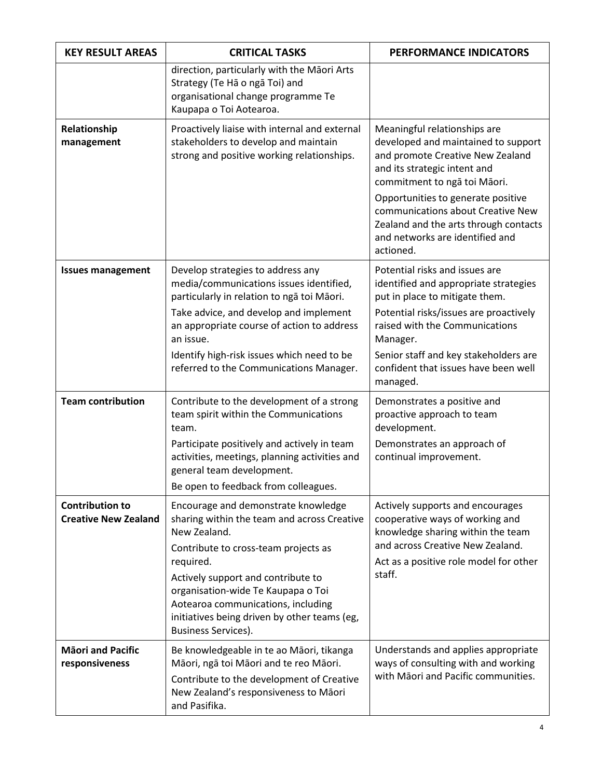| <b>KEY RESULT AREAS</b>                               | <b>CRITICAL TASKS</b>                                                                                                                                                                                                                                                                                                                                   | <b>PERFORMANCE INDICATORS</b>                                                                                                                                                                                                                                                                  |
|-------------------------------------------------------|---------------------------------------------------------------------------------------------------------------------------------------------------------------------------------------------------------------------------------------------------------------------------------------------------------------------------------------------------------|------------------------------------------------------------------------------------------------------------------------------------------------------------------------------------------------------------------------------------------------------------------------------------------------|
|                                                       | direction, particularly with the Māori Arts<br>Strategy (Te Ha o nga Toi) and<br>organisational change programme Te<br>Kaupapa o Toi Aotearoa.                                                                                                                                                                                                          |                                                                                                                                                                                                                                                                                                |
| Relationship<br>management                            | Proactively liaise with internal and external<br>stakeholders to develop and maintain<br>strong and positive working relationships.                                                                                                                                                                                                                     | Meaningful relationships are<br>developed and maintained to support<br>and promote Creative New Zealand<br>and its strategic intent and<br>commitment to ngā toi Māori.<br>Opportunities to generate positive<br>communications about Creative New<br>Zealand and the arts through contacts    |
|                                                       |                                                                                                                                                                                                                                                                                                                                                         | and networks are identified and<br>actioned.                                                                                                                                                                                                                                                   |
| <b>Issues management</b>                              | Develop strategies to address any<br>media/communications issues identified,<br>particularly in relation to ngā toi Māori.<br>Take advice, and develop and implement<br>an appropriate course of action to address<br>an issue.<br>Identify high-risk issues which need to be<br>referred to the Communications Manager.                                | Potential risks and issues are<br>identified and appropriate strategies<br>put in place to mitigate them.<br>Potential risks/issues are proactively<br>raised with the Communications<br>Manager.<br>Senior staff and key stakeholders are<br>confident that issues have been well<br>managed. |
| <b>Team contribution</b>                              | Contribute to the development of a strong<br>team spirit within the Communications<br>team.<br>Participate positively and actively in team<br>activities, meetings, planning activities and<br>general team development.<br>Be open to feedback from colleagues.                                                                                        | Demonstrates a positive and<br>proactive approach to team<br>development.<br>Demonstrates an approach of<br>continual improvement.                                                                                                                                                             |
| <b>Contribution to</b><br><b>Creative New Zealand</b> | Encourage and demonstrate knowledge<br>sharing within the team and across Creative<br>New Zealand.<br>Contribute to cross-team projects as<br>required.<br>Actively support and contribute to<br>organisation-wide Te Kaupapa o Toi<br>Aotearoa communications, including<br>initiatives being driven by other teams (eg,<br><b>Business Services).</b> | Actively supports and encourages<br>cooperative ways of working and<br>knowledge sharing within the team<br>and across Creative New Zealand.<br>Act as a positive role model for other<br>staff.                                                                                               |
| <b>Māori and Pacific</b><br>responsiveness            | Be knowledgeable in te ao Māori, tikanga<br>Māori, ngā toi Māori and te reo Māori.<br>Contribute to the development of Creative<br>New Zealand's responsiveness to Māori<br>and Pasifika.                                                                                                                                                               | Understands and applies appropriate<br>ways of consulting with and working<br>with Māori and Pacific communities.                                                                                                                                                                              |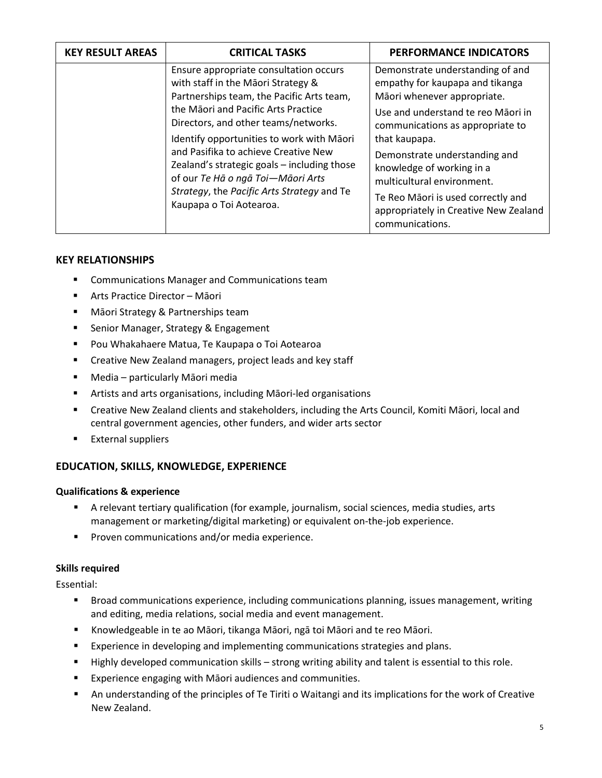| <b>KEY RESULT AREAS</b> | <b>CRITICAL TASKS</b>                                                                                                                                                                                                                                                                                                                                                                                                                                      | PERFORMANCE INDICATORS                                                                                                                                                                                                                                                                                                                                                                      |
|-------------------------|------------------------------------------------------------------------------------------------------------------------------------------------------------------------------------------------------------------------------------------------------------------------------------------------------------------------------------------------------------------------------------------------------------------------------------------------------------|---------------------------------------------------------------------------------------------------------------------------------------------------------------------------------------------------------------------------------------------------------------------------------------------------------------------------------------------------------------------------------------------|
|                         | Ensure appropriate consultation occurs<br>with staff in the Māori Strategy &<br>Partnerships team, the Pacific Arts team,<br>the Māori and Pacific Arts Practice<br>Directors, and other teams/networks.<br>Identify opportunities to work with Māori<br>and Pasifika to achieve Creative New<br>Zealand's strategic goals - including those<br>of our Te Hā o ngā Toi-Māori Arts<br>Strategy, the Pacific Arts Strategy and Te<br>Kaupapa o Toi Aotearoa. | Demonstrate understanding of and<br>empathy for kaupapa and tikanga<br>Māori whenever appropriate.<br>Use and understand te reo Māori in<br>communications as appropriate to<br>that kaupapa.<br>Demonstrate understanding and<br>knowledge of working in a<br>multicultural environment.<br>Te Reo Māori is used correctly and<br>appropriately in Creative New Zealand<br>communications. |

# **KEY RELATIONSHIPS**

- **E** Communications Manager and Communications team
- Arts Practice Director Māori
- **Mäori Strategy & Partnerships team**
- **F** Senior Manager, Strategy & Engagement
- Pou Whakahaere Matua, Te Kaupapa o Toi Aotearoa
- **EXP** Creative New Zealand managers, project leads and key staff
- Media particularly Māori media
- Artists and arts organisations, including Māori-led organisations
- Creative New Zealand clients and stakeholders, including the Arts Council, Komiti Māori, local and central government agencies, other funders, and wider arts sector
- **External suppliers**

# **EDUCATION, SKILLS, KNOWLEDGE, EXPERIENCE**

## **Qualifications & experience**

- A relevant tertiary qualification (for example, journalism, social sciences, media studies, arts management or marketing/digital marketing) or equivalent on-the-job experience.
- **Proven communications and/or media experience.**

## **Skills required**

Essential:

- Broad communications experience, including communications planning, issues management, writing and editing, media relations, social media and event management.
- Knowledgeable in te ao Māori, tikanga Māori, ngā toi Māori and te reo Māori.
- **Experience in developing and implementing communications strategies and plans.**
- Highly developed communication skills strong writing ability and talent is essential to this role.
- **Experience engaging with Maori audiences and communities.**
- An understanding of the principles of Te Tiriti o Waitangi and its implications for the work of Creative New Zealand.